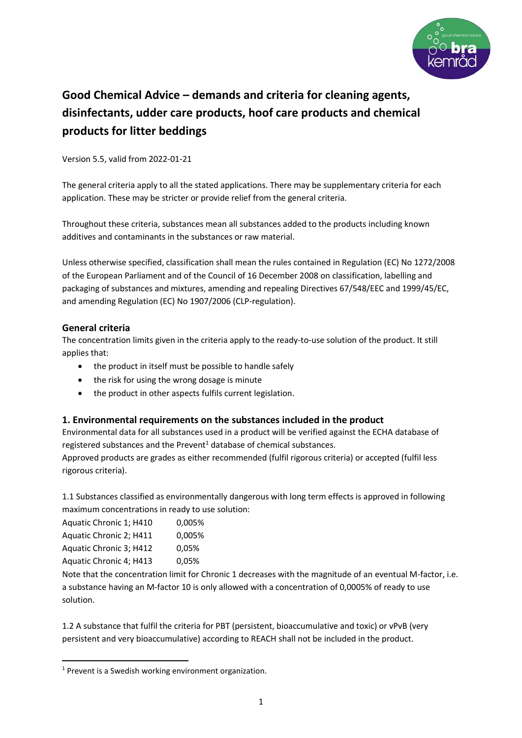

# **Good Chemical Advice – demands and criteria for cleaning agents, disinfectants, udder care products, hoof care products and chemical products for litter beddings**

Version 5.5, valid from 2022-01-21

The general criteria apply to all the stated applications. There may be supplementary criteria for each application. These may be stricter or provide relief from the general criteria.

Throughout these criteria, substances mean all substances added to the products including known additives and contaminants in the substances or raw material.

Unless otherwise specified, classification shall mean the rules contained in Regulation (EC) No 1272/2008 of the European Parliament and of the Council of 16 December 2008 on classification, labelling and packaging of substances and mixtures, amending and repealing Directives 67/548/EEC and 1999/45/EC, and amending Regulation (EC) No 1907/2006 (CLP-regulation).

### **General criteria**

The concentration limits given in the criteria apply to the ready-to-use solution of the product. It still applies that:

- the product in itself must be possible to handle safely
- the risk for using the wrong dosage is minute
- the product in other aspects fulfils current legislation.

### **1. Environmental requirements on the substances included in the product**

Environmental data for all substances used in a product will be verified against the ECHA database of registered substances and the Prevent<sup>1</sup> database of chemical substances.

Approved products are grades as either recommended (fulfil rigorous criteria) or accepted (fulfil less rigorous criteria).

1.1 Substances classified as environmentally dangerous with long term effects is approved in following maximum concentrations in ready to use solution:

Aquatic Chronic 1; H410 0,005% Aquatic Chronic 2; H411 0,005% Aquatic Chronic 3; H412 0,05% Aquatic Chronic 4; H413 0,05%

Note that the concentration limit for Chronic 1 decreases with the magnitude of an eventual M-factor, i.e. a substance having an M-factor 10 is only allowed with a concentration of 0,0005% of ready to use solution.

1.2 A substance that fulfil the criteria for PBT (persistent, bioaccumulative and toxic) or vPvB (very persistent and very bioaccumulative) according to REACH shall not be included in the product.

<sup>&</sup>lt;sup>1</sup> Prevent is a Swedish working environment organization.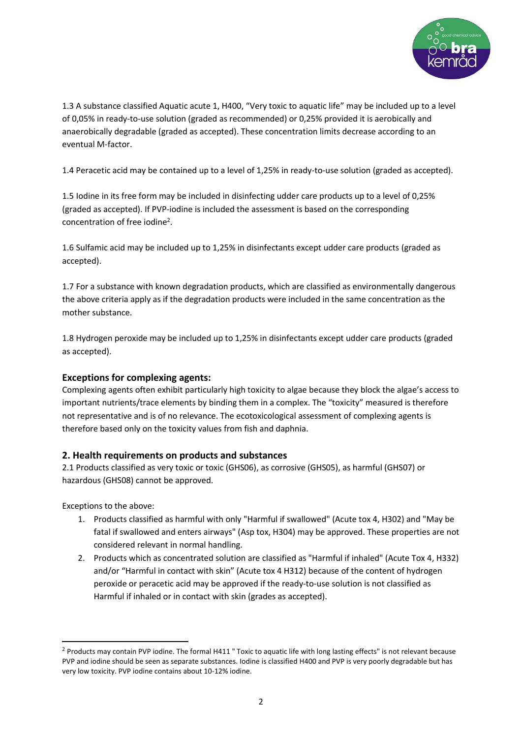

1.3 A substance classified Aquatic acute 1, H400, "Very toxic to aquatic life" may be included up to a level of 0,05% in ready-to-use solution (graded as recommended) or 0,25% provided it is aerobically and anaerobically degradable (graded as accepted). These concentration limits decrease according to an eventual M-factor.

1.4 Peracetic acid may be contained up to a level of 1,25% in ready-to-use solution (graded as accepted).

1.5 Iodine in its free form may be included in disinfecting udder care products up to a level of 0,25% (graded as accepted). If PVP-iodine is included the assessment is based on the corresponding concentration of free iodine<sup>2</sup>.

1.6 Sulfamic acid may be included up to 1,25% in disinfectants except udder care products (graded as accepted).

1.7 For a substance with known degradation products, which are classified as environmentally dangerous the above criteria apply as if the degradation products were included in the same concentration as the mother substance.

1.8 Hydrogen peroxide may be included up to 1,25% in disinfectants except udder care products (graded as accepted).

### **Exceptions for complexing agents:**

Complexing agents often exhibit particularly high toxicity to algae because they block the algae's access to important nutrients/trace elements by binding them in a complex. The "toxicity" measured is therefore not representative and is of no relevance. The ecotoxicological assessment of complexing agents is therefore based only on the toxicity values from fish and daphnia.

#### **2. Health requirements on products and substances**

2.1 Products classified as very toxic or toxic (GHS06), as corrosive (GHS05), as harmful (GHS07) or hazardous (GHS08) cannot be approved.

Exceptions to the above:

- 1. Products classified as harmful with only "Harmful if swallowed" (Acute tox 4, H302) and "May be fatal if swallowed and enters airways" (Asp tox, H304) may be approved. These properties are not considered relevant in normal handling.
- 2. Products which as concentrated solution are classified as "Harmful if inhaled" (Acute Tox 4, H332) and/or "Harmful in contact with skin" (Acute tox 4 H312) because of the content of hydrogen peroxide or peracetic acid may be approved if the ready-to-use solution is not classified as Harmful if inhaled or in contact with skin (grades as accepted).

<sup>&</sup>lt;sup>2</sup> Products may contain PVP iodine. The formal H411 " Toxic to aquatic life with long lasting effects" is not relevant because PVP and iodine should be seen as separate substances. Iodine is classified H400 and PVP is very poorly degradable but has very low toxicity. PVP iodine contains about 10-12% iodine.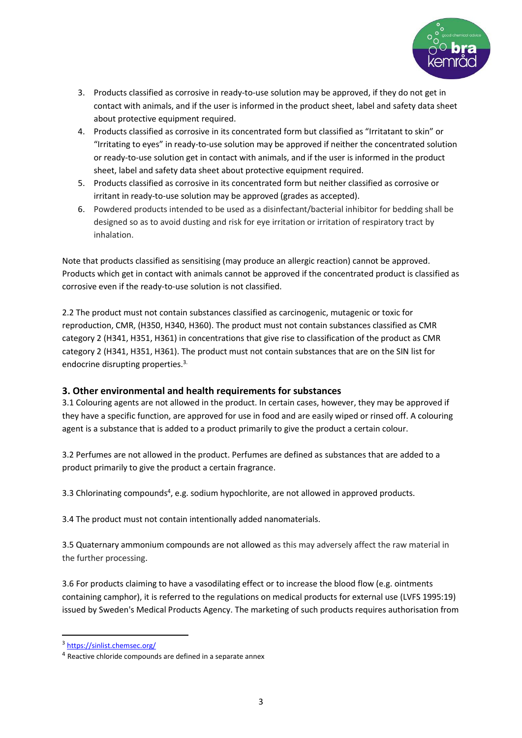

- 3. Products classified as corrosive in ready-to-use solution may be approved, if they do not get in contact with animals, and if the user is informed in the product sheet, label and safety data sheet about protective equipment required.
- 4. Products classified as corrosive in its concentrated form but classified as "Irritatant to skin" or "Irritating to eyes" in ready-to-use solution may be approved if neither the concentrated solution or ready-to-use solution get in contact with animals, and if the user is informed in the product sheet, label and safety data sheet about protective equipment required.
- 5. Products classified as corrosive in its concentrated form but neither classified as corrosive or irritant in ready-to-use solution may be approved (grades as accepted).
- 6. Powdered products intended to be used as a disinfectant/bacterial inhibitor for bedding shall be designed so as to avoid dusting and risk for eye irritation or irritation of respiratory tract by inhalation.

Note that products classified as sensitising (may produce an allergic reaction) cannot be approved. Products which get in contact with animals cannot be approved if the concentrated product is classified as corrosive even if the ready-to-use solution is not classified.

2.2 The product must not contain substances classified as carcinogenic, mutagenic or toxic for reproduction, CMR, (H350, H340, H360). The product must not contain substances classified as CMR category 2 (H341, H351, H361) in concentrations that give rise to classification of the product as CMR category 2 (H341, H351, H361). The product must not contain substances that are on the SIN list for endocrine disrupting properties.<sup>3.</sup>

### **3. Other environmental and health requirements for substances**

3.1 Colouring agents are not allowed in the product. In certain cases, however, they may be approved if they have a specific function, are approved for use in food and are easily wiped or rinsed off. A colouring agent is a substance that is added to a product primarily to give the product a certain colour.

3.2 Perfumes are not allowed in the product. Perfumes are defined as substances that are added to a product primarily to give the product a certain fragrance.

3.3 Chlorinating compounds<sup>4</sup>, e.g. sodium hypochlorite, are not allowed in approved products.

3.4 The product must not contain intentionally added nanomaterials.

3.5 Quaternary ammonium compounds are not allowed as this may adversely affect the raw material in the further processing.

3.6 For products claiming to have a vasodilating effect or to increase the blood flow (e.g. ointments containing camphor), it is referred to the regulations on medical products for external use (LVFS 1995:19) issued by Sweden's Medical Products Agency. The marketing of such products requires authorisation from

<sup>3</sup> <https://sinlist.chemsec.org/>

<sup>4</sup> Reactive chloride compounds are defined in a separate annex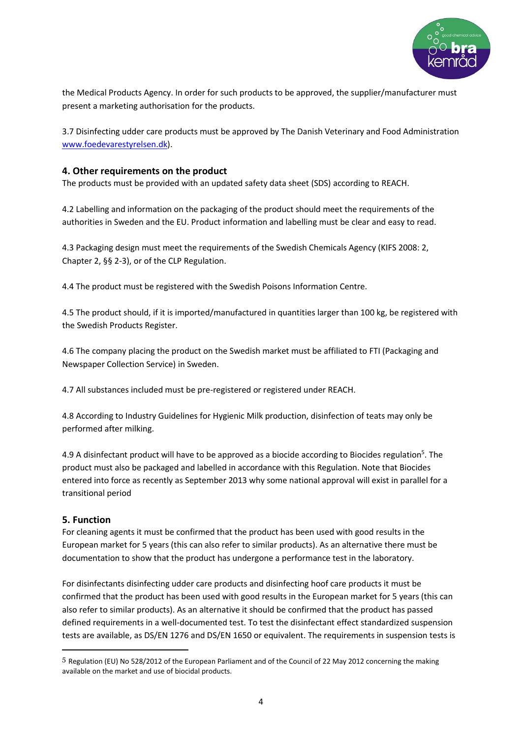

the Medical Products Agency. In order for such products to be approved, the supplier/manufacturer must present a marketing authorisation for the products.

3.7 Disinfecting udder care products must be approved by The Danish Veterinary and Food Administration [www.foedevarestyrelsen.dk\)](http://www.foedevarestyrelsen.dk/).

#### **4. Other requirements on the product**

The products must be provided with an updated safety data sheet (SDS) according to REACH.

4.2 Labelling and information on the packaging of the product should meet the requirements of the authorities in Sweden and the EU. Product information and labelling must be clear and easy to read.

4.3 Packaging design must meet the requirements of the Swedish Chemicals Agency (KIFS 2008: 2, Chapter 2, §§ 2-3), or of the CLP Regulation.

4.4 The product must be registered with the Swedish Poisons Information Centre.

4.5 The product should, if it is imported/manufactured in quantities larger than 100 kg, be registered with the Swedish Products Register.

4.6 The company placing the product on the Swedish market must be affiliated to FTI (Packaging and Newspaper Collection Service) in Sweden.

4.7 All substances included must be pre-registered or registered under REACH.

4.8 According to Industry Guidelines for Hygienic Milk production, disinfection of teats may only be performed after milking.

4.9 A disinfectant product will have to be approved as a biocide according to Biocides regulation<sup>5</sup>. The product must also be packaged and labelled in accordance with this Regulation. Note that Biocides entered into force as recently as September 2013 why some national approval will exist in parallel for a transitional period

### **5. Function**

For cleaning agents it must be confirmed that the product has been used with good results in the European market for 5 years (this can also refer to similar products). As an alternative there must be documentation to show that the product has undergone a performance test in the laboratory.

For disinfectants disinfecting udder care products and disinfecting hoof care products it must be confirmed that the product has been used with good results in the European market for 5 years (this can also refer to similar products). As an alternative it should be confirmed that the product has passed defined requirements in a well-documented test. To test the disinfectant effect standardized suspension tests are available, as DS/EN 1276 and DS/EN 1650 or equivalent. The requirements in suspension tests is

<sup>5</sup> Regulation (EU) No 528/2012 of the European Parliament and of the Council of 22 May 2012 concerning the making available on the market and use of biocidal products.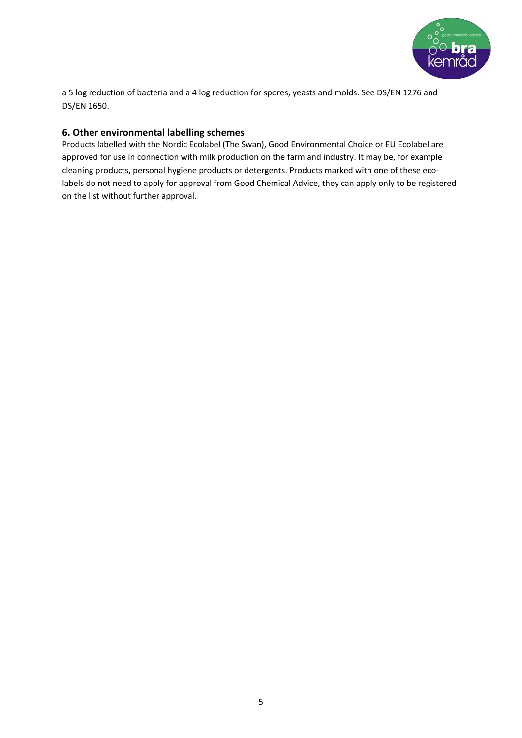

a 5 log reduction of bacteria and a 4 log reduction for spores, yeasts and molds. See DS/EN 1276 and DS/EN 1650.

## **6. Other environmental labelling schemes**

Products labelled with the Nordic Ecolabel (The Swan), Good Environmental Choice or EU Ecolabel are approved for use in connection with milk production on the farm and industry. It may be, for example cleaning products, personal hygiene products or detergents. Products marked with one of these ecolabels do not need to apply for approval from Good Chemical Advice, they can apply only to be registered on the list without further approval.